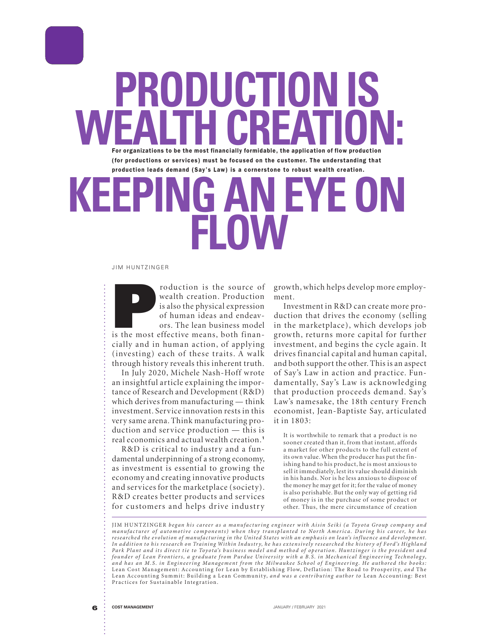WEALTH CREATION:<br> **For organizations to be the most financially formidable, the application of flow production (for productions or services) must be focused on the customer. The understanding that production leads demand (Say's Law) is a cornerstone to robust wealth creation.**

**PRODUCTION IS**

## **G AN EYE ON FLOW**

## JIM HUNTZINGER

**Production** is the source of wealth creation. Production is also the physical expression of human ideas and endeavors. The lean business model is the most effective means, both finanwealth creation. Production is also the physical expression of human ideas and endeavors. The lean business model cially and in human action, of applying  $(investing)$  each of these traits. A walk through history reveals this inherent truth.

In July 2020, Michele Nash-Hoff wrote an insightful ar ticle explaining the importance of Research and Development (R&D) which derives from manufacturing — think investment. Service innovation rests in this ver y same arena. Think manufacturing production and service production  $-$  this is real economics and actual wealth creation.**<sup>1</sup>**

R&D is critical to industry and a fundamental underpinning of a strong economy, as investment is essential to growing the economy and creating innovative products and services for the marketplace (society). R&D creates better products and services for customers and helps drive industry

grow th, which helps develop more employment.

Investment in R&D can create more production that drives the economy (selling) in the marketplace), which develops job growth, returns more capital for further investment, and begins the cycle again. It drives financial capital and human capital, and both support the other. This is an aspect of Say's Law in action and practice. Fundamentally, Say's Law is acknowledging that production proceeds demand. Say's Law's namesake, the 18th century French economist, Jean-Baptiste Say, articulated it in 1803:

It is worthwhile to remark that a product is no sooner created than it, from that instant, affords a market for other products to the full extent of its own value. When the producer has put the finishing hand to his product, he is most anxious to sell it immediately, lest its value should diminish in his hands. Nor is he less anxious to dispose of the money he may get for it; for the value of money is also perishable. But the only way of getting rid of money is in the purchase of some product or other. Thus, the mere circumstance of creation

JIM HUNTZINGER began his career as a manufacturing engineer with Aisin Seiki (a Toyota Group company and manufacturer of automotive components) when they transplanted to North America. During his career, he has researched the evolution of manufacturing in the United States with an emphasis on lean's influence and development. In addition to his research on Training Within Industry, he has extensively researched the history of Ford's Highland Park Plant and its direct tie to Toyota's business model and method of operation. Huntzinger is the president and founder of Lean Frontiers, a graduate from Purdue University with a B.S. in Mechanical Engineering Technology, and has an M.S. in Engineering Management from the Milwaukee School of Engineering. He authored the books: Lean Cost Management: Accounting for Lean by Establishing Flow, Deflation: The Road to Prosperity, and The Lean Accounting Summit: Building a Lean Community, and was a contributing author to Lean Accounting: Best Practices for Sustainable Integration.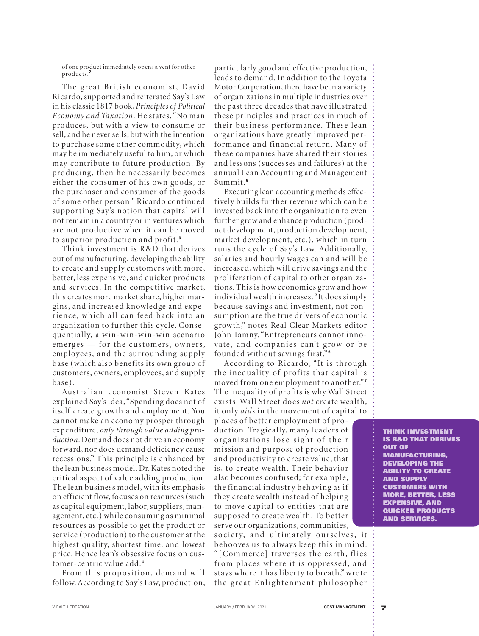of one product immediately opens a vent for other products.**<sup>2</sup>**

The great British economist, David Ricardo, supported and reiterated Say's Law in his classic 1817 book, Principles of Political Economy and Taxation. He states, "No man produces, but with a view to consume or sell, and he never sells, but with the intention to purchase some other commodity, which may be immediately useful to him, or which may contribute to future production. By producing, then he necessarily becomes either the consumer of his own goods, or the purchaser and consumer of the goods of some other person." Ricardo continued supporting Say's notion that capital will not remain in a country or in ventures which are not productive when it can be moved to superior production and profit.<sup>3</sup>

Think investment is R&D that derives out of manufacturing, developing the ability to create and supply customers w ith more, better, less expensive, and quicker products and services. In the competitive market, this creates more market share, higher margins, and increased knowledge and experience, which all can feed back into an organization to further this cycle. Consequentially, a win-win-win-win scenario emerges — for the customers, owners, employees, and the surrounding supply base (which also benefits its own group of customers, ow ners, employees, and supply base).

Australian economist Steven Kates explained Say's idea, "Spending does not of itself create growth and employment. You cannot make an economy prosper through expenditure, only through value adding production. Demand does not drive an economy for ward, nor does demand deficiency cause recessions." This principle is enhanced by the lean business model. Dr. Kates noted the critical aspect of value adding production. The lean business model, with its emphasis on efficient flow, focuses on resources (such as capital equipment, labor, suppliers, management, etc.) while consuming as minimal resources as possible to get the product or service (production) to the customer at the highest quality, shortest time, and lowest price. Hence lean's obsessive focus on customer-centric value add. **<sup>4</sup>**

From this proposition, demand will follow. According to Say's Law, production, particularly good and effective production, leads to demand. In addition to the Toyota Motor Corporation, there have been a variety of organizations in multiple industries over the past three decades that have illustrated these principles and practices in much of their business performance. These lean organizations have greatly improved performance and financial return. Many of these companies have shared their stories and lessons (successes and failures) at the annual Lean Accounting and Management Summit. **<sup>5</sup>**

Executing lean accounting methods effectively builds further revenue which can be invested back into the organization to even further grow and enhance production (product development, production development, market development, etc.), which in turn runs the cycle of Say's Law. Additionally, salaries and hourly wages can and will be increased, which will drive savings and the proliferation of capital to other organizations. This is how economies grow and how individual wealth increases. "It does simply because savings and investment, not consumption are the true drivers of economic growth," notes Real Clear Markets editor John Tamny. "Entrepreneurs cannot innovate, and companies can't grow or be founded w ithout sav ings first." **<sup>6</sup>**

. . . . . . . . . . . . . . . . . . . . . . . . . . . . . . . . . . . . . . . . . . . . . . . . . . . . . . . . . . . . . . . . . . . . . . . . . . . . . . . . . . . . . . . . . . . . . . .

. . . . . . . . . . . . . . . . . . . . . . . . . . . . .

According to Ricardo, "It is through the inequality of profits that capital is moved from one employment to another."<sup>7</sup> The inequality of profits is why Wall Street exists. Wall Street does not create wealth, it only *aids* in the movement of capital to

places of better employment of production. Tragically, many leaders of organizations lose sight of their mission and purpose of production and productivity to create value, that is, to create wealth. Their behavior also becomes confused; for example, the financial industry behaving as if they create wealth instead of helping to move capital to entities that are supposed to create wealth. To better ser ve our organizations, communities,

society, and ultimately ourselves, it behooves us to always keep this in mind. " [Commerce] traverses the earth, flies from places where it is oppressed, and stays where it has liberty to breath," wrote the great Enlightenment philosopher

**THINK INVESTMENT IS R&D THAT DERIVES OUT OF MANUFACTURING, DEVELOPING THE ABILITY TO CREATE AND SUPPLY CUSTOMERS WITH MORE, BETTER, LESS EXPENSIVE, AND QUICKER PRODUCTS AND SERVICES.**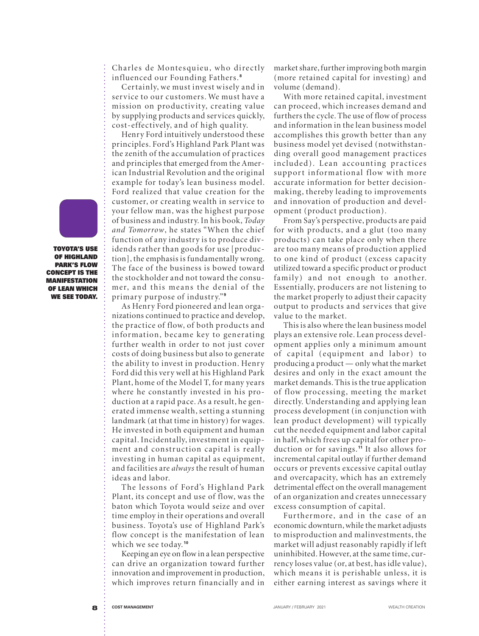Charles de Montesquieu, who directly in fluenced our Founding Fathers.<sup>8</sup>

Certainly, we must invest wisely and in service to our customers. We must have a mission on productivity, creating value by supplying products and ser vices quickly, cost-effectively, and of high quality.

Henry Ford intuitively understood these principles. Ford's Highland Park Plant was the zenith of the accumulation of practices and principles that emerged from the American Industrial Revolution and the original example for today's lean business model. Ford realized that value creation for the customer, or creating wealth in service to your fellow man, was the highest purpose of business and industry. In his book, Today and Tomorrow, he states "When the chief function of any industry is to produce dividends rather than goods for use [production], the emphasis is fundamentally wrong. The face of the business is bowed toward the stock holder and not toward the consumer, and this means the denial of the primary purpose of industry."<sup>9</sup>

As Henry Ford pioneered and lean organizations continued to practice and develop, the practice of flow, of both products and information, became key to generating fur ther wealth in order to not just cover costs of doing business but also to generate the ability to invest in production. Henry Ford did this very well at his Highland Park Plant, home of the Model T, for many years where he constantly invested in his production at a rapid pace. As a result, he generated immense wealth, setting a stunning landmark (at that time in history) for wages. He invested in both equipment and human capital. Incidentally, investment in equipment and construction capital is really investing in human capital as equipment, and facilities are always the result of human ideas and labor.

The lessons of Ford's Highland Park Plant, its concept and use of flow, was the baton which Toyota would seize and over time employ in their operations and overall business. Toyota's use of Highland Park's flow concept is the manifestation of lean which we see today. **<sup>10</sup>**

Keeping an eye on flow in a lean perspective can drive an organization toward further innovation and improvement in production, which improves return financially and in

market share, further improving both margin (more retained capital for investing) and volume (demand).

With more retained capital, investment can proceed, which increases demand and furthers the cycle. The use of flow of process and information in the lean business model accomplishes this grow th better than any business model yet devised (notwithstanding overall good management practices in cluded). Lean accounting practices support informational flow with more accurate information for better decisionmaking, thereby leading to improvements and innovation of production and development (product production).

From Say's perspective, products are paid for with products, and a glut (too many products) can take place only when there are too many means of production applied to one kind of product (excess capacity utilized toward a specific product or product family) and not enough to another. Essentially, producers are not listening to the market properly to adjust their capacity output to products and services that give value to the market.

This is also where the lean business model plays an extensive role. Lean process development applies only a minimum amount of capital (equipment and labor) to producing a product — only what the market desires and only in the exact amount the market demands. This is the true application of flow processing, meeting the market directly. Understanding and applying lean process development (in conjunction with lean product development) will typically cut the needed equipment and labor capital in half, which frees up capital for other production or for sav ings. **<sup>11</sup>** It also allows for incremental capital outlay if further demand occurs or prevents excessive capital outlay and overcapacity, which has an extremely detrimental effect on the overall management of an organization and creates unnecessar y excess consumption of capital.

Furthermore, and in the case of an economic downturn, while the market adjusts to misproduction and malinvestments, the market will adjust reasonably rapidly if left uninhibited. However, at the same time, currency loses value (or, at best, has idle value), which means it is perishable unless, it is either earning interest as savings where it

**TOYOTA'S USE OF HIGHLAND PARK'S FLOW CONCEPT IS THE MANIFESTATION OF LEAN WHICH WE SEE TODAY.**